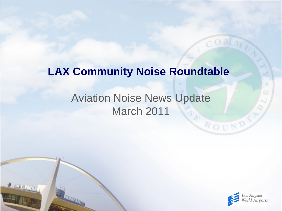#### **LAX Community Noise Roundtable**

#### Aviation Noise News Update March 2011

 $2$  and  $111$ 



ROUND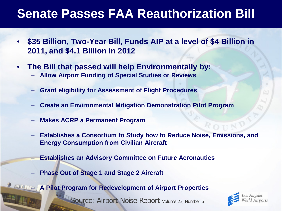### **Senate Passes FAA Reauthorization Bill**

- **\$35 Billion, Two-Year Bill, Funds AIP at a level of \$4 Billion in 2011, and \$4.1 Billion in 2012**
- **The Bill that passed will help Environmentally by:**
	- **Allow Airport Funding of Special Studies or Reviews**
	- **Grant eligibility for Assessment of Flight Procedures**
	- **Create an Environmental Mitigation Demonstration Pilot Program**
	- **Makes ACRP a Permanent Program**
	- **Establishes a Consortium to Study how to Reduce Noise, Emissions, and Energy Consumption from Civilian Aircraft**
		- **Establishes an Advisory Committee on Future Aeronautics**
	- **Phase Out of Stage 1 and Stage 2 Aircraft**

– **A Pilot Program for Redevelopment of Airport Properties**

Source: Airport Noise Report volume 23, Number 6

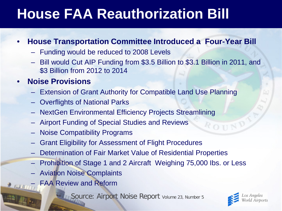# **House FAA Reauthorization Bill**

#### • **House Transportation Committee Introduced a Four-Year Bill**

- Funding would be reduced to 2008 Levels
- Bill would Cut AIP Funding from \$3.5 Billion to \$3.1 Billion in 2011, and \$3 Billion from 2012 to 2014

#### • **Noise Provisions**

- Extension of Grant Authority for Compatible Land Use Planning
- Overflights of National Parks
- NextGen Environmental Efficiency Projects Streamlining
- Airport Funding of Special Studies and Reviews
- Noise Compatibility Programs
- Grant Eligibility for Assessment of Flight Procedures
- Determination of Fair Market Value of Residential Properties
- Prohibition of Stage 1 and 2 Aircraft Weighing 75,000 Ibs. or Less
- Aviation Noise Complaints
- FAA Review and Reform

**Source: Airport Noise Report Volume 23, Number 5** 

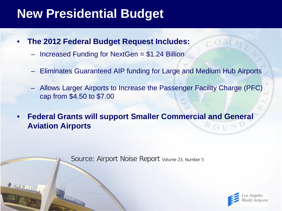### **New Presidential Budget**

- **The 2012 Federal Budget Request Includes:**
	- Increased Funding for NextGen  $= $1.24$  Billion
	- Eliminates Guaranteed AIP funding for Large and Medium Hub Airports
	- Allows Larger Airports to Increase the Passenger Facility Charge (PFC) cap from \$4.50 to \$7.00
- **Federal Grants will support Smaller Commercial and General Aviation Airports**

Source: Airport Noise Report Volume 23, Number 5

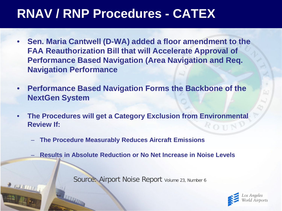### **RNAV / RNP Procedures - CATEX**

- **Sen. Maria Cantwell (D-WA) added a floor amendment to the FAA Reauthorization Bill that will Accelerate Approval of Performance Based Navigation (Area Navigation and Req. Navigation Performance**
- **Performance Based Navigation Forms the Backbone of the NextGen System**
- **The Procedures will get a Category Exclusion from Environmental Review If:**  $R$  O II
	- **The Procedure Measurably Reduces Aircraft Emissions**

2 1000 111

– **Results in Absolute Reduction or No Net Increase in Noise Levels**

Source: Airport Noise Report volume 23, Number 6

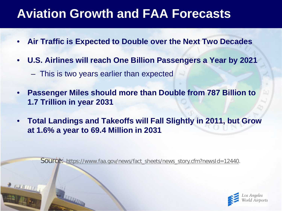### **Aviation Growth and FAA Forecasts**

- **Air Traffic is Expected to Double over the Next Two Decades**
- **U.S. Airlines will reach One Billion Passengers a Year by 2021**
	- This is two years earlier than expected
- **Passenger Miles should more than Double from 787 Billion to 1.7 Trillion in year 2031**
- **Total Landings and Takeoffs will Fall Slightly in 2011, but Grow at 1.6% a year to 69.4 Million in 2031**

Source: https://www.faa.gov/news/fact\_sheets/news\_story.cfm?newsId=12440.

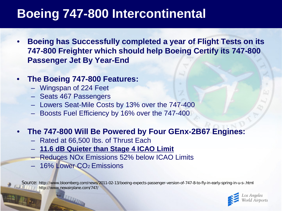## **Boeing 747-800 Intercontinental**

• **Boeing has Successfully completed a year of Flight Tests on its 747-800 Freighter which should help Boeing Certify its 747-800 Passenger Jet By Year-End**

#### • **The Boeing 747-800 Features:**

- Wingspan of 224 Feet
- Seats 467 Passengers
- Lowers Seat-Mile Costs by 13% over the 747-400
- Boosts Fuel Efficiency by 16% over the 747-400

#### • **The 747-800 Will Be Powered by Four GEnx-2B67 Engines:**

- Rated at 66,500 Ibs. of Thrust Each
- **11.6 dB Quieter than Stage 4 ICAO Limit**
- Reduces NOx Emissions 52% below ICAO Limits
- 16% Lower CO2 Emissions

Source: http://www.bloomberg.com/news/2011-02-13/boeing-expects-passenger-version-of-747-8-to-fly-in-early-spring-in-u-s-.html http://www.newairplane.com/747/

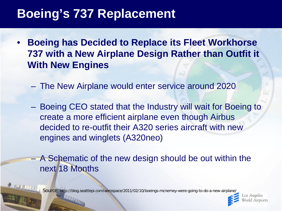### **Boeing's 737 Replacement**

- **Boeing has Decided to Replace its Fleet Workhorse 737 with a New Airplane Design Rather than Outfit it With New Engines**
	- The New Airplane would enter service around 2020
	- Boeing CEO stated that the Industry will wait for Boeing to create a more efficient airplane even though Airbus decided to re-outfit their A320 series aircraft with new engines and winglets (A320neo)
	- A Schematic of the new design should be out within the next 18 Months

Source: http://blog.seattlepi.com/aerospace/2011/02/10/boeings-mcnerney-were-going-to-do-a-new-airplane/

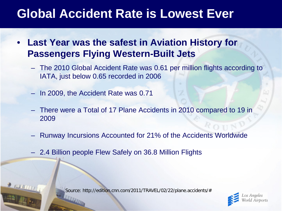### **Global Accident Rate is Lowest Ever**

- **Last Year was the safest in Aviation History for Passengers Flying Western-Built Jets**
	- The 2010 Global Accident Rate was 0.61 per million flights according to IATA, just below 0.65 recorded in 2006
	- In 2009, the Accident Rate was 0.71
	- There were a Total of 17 Plane Accidents in 2010 compared to 19 in 2009
	- Runway Incursions Accounted for 21% of the Accidents Worldwide
	- 2.4 Billion people Flew Safely on 36.8 Million Flights

Source: http://edition.cnn.com/2011/TRAVEL/02/22/plane.accidents/#